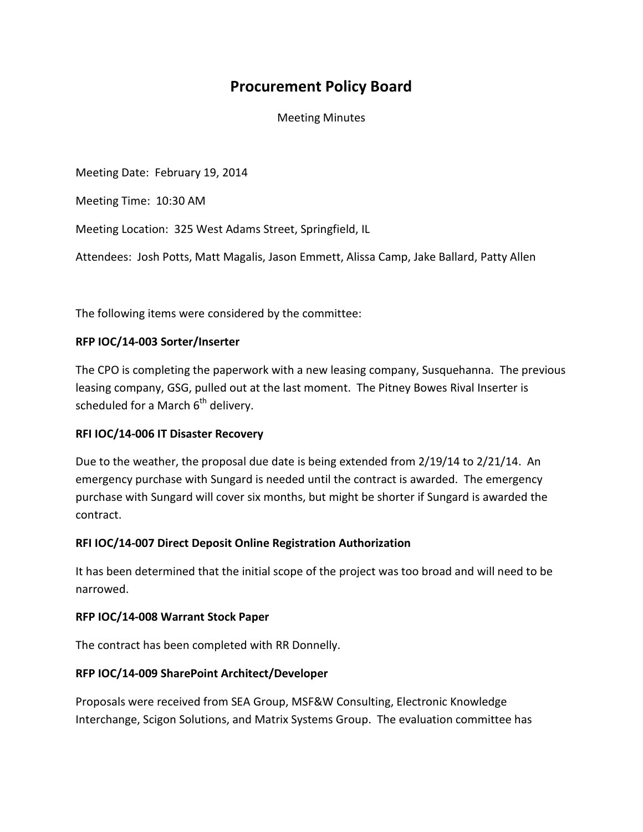# **Procurement Policy Board**

Meeting Minutes

Meeting Date: February 19, 2014

Meeting Time: 10:30 AM

Meeting Location: 325 West Adams Street, Springfield, IL

Attendees: Josh Potts, Matt Magalis, Jason Emmett, Alissa Camp, Jake Ballard, Patty Allen

The following items were considered by the committee:

## **RFP IOC/14-003 Sorter/Inserter**

The CPO is completing the paperwork with a new leasing company, Susquehanna. The previous leasing company, GSG, pulled out at the last moment. The Pitney Bowes Rival Inserter is scheduled for a March  $6<sup>th</sup>$  delivery.

#### **RFI IOC/14-006 IT Disaster Recovery**

Due to the weather, the proposal due date is being extended from 2/19/14 to 2/21/14. An emergency purchase with Sungard is needed until the contract is awarded. The emergency purchase with Sungard will cover six months, but might be shorter if Sungard is awarded the contract.

# **RFI IOC/14-007 Direct Deposit Online Registration Authorization**

It has been determined that the initial scope of the project was too broad and will need to be narrowed.

#### **RFP IOC/14-008 Warrant Stock Paper**

The contract has been completed with RR Donnelly.

# **RFP IOC/14-009 SharePoint Architect/Developer**

Proposals were received from SEA Group, MSF&W Consulting, Electronic Knowledge Interchange, Scigon Solutions, and Matrix Systems Group. The evaluation committee has